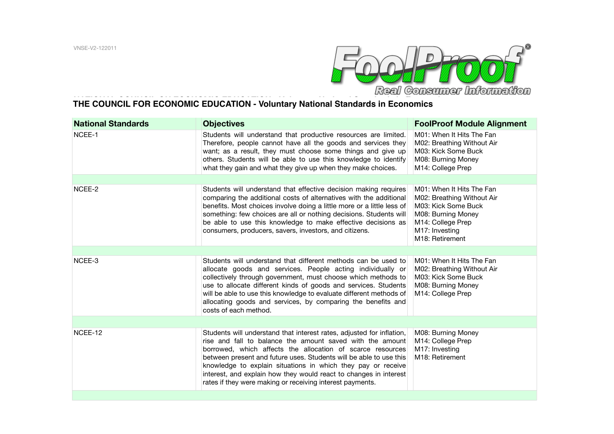

## **NATIONAL COUNCIL ON ECONOMIC EDUCATION - Voluntary National Standards in Economics THE COUNCIL FOR ECONOMIC EDUCATION - Voluntary National Standards in Economics**

| <b>National Standards</b> | <b>Objectives</b>                                                                                                                                                                                                                                                                                                                                                                                                                                                        | <b>FoolProof Module Alignment</b>                                                                                                                                           |
|---------------------------|--------------------------------------------------------------------------------------------------------------------------------------------------------------------------------------------------------------------------------------------------------------------------------------------------------------------------------------------------------------------------------------------------------------------------------------------------------------------------|-----------------------------------------------------------------------------------------------------------------------------------------------------------------------------|
| NCEE-1                    | Students will understand that productive resources are limited.<br>Therefore, people cannot have all the goods and services they<br>want; as a result, they must choose some things and give up<br>others. Students will be able to use this knowledge to identify<br>what they gain and what they give up when they make choices.                                                                                                                                       | M01: When It Hits The Fan<br>M02: Breathing Without Air<br>M03: Kick Some Buck<br>M08: Burning Money<br>M14: College Prep                                                   |
|                           |                                                                                                                                                                                                                                                                                                                                                                                                                                                                          |                                                                                                                                                                             |
| NCEE-2                    | Students will understand that effective decision making requires<br>comparing the additional costs of alternatives with the additional<br>benefits. Most choices involve doing a little more or a little less of<br>something: few choices are all or nothing decisions. Students will<br>be able to use this knowledge to make effective decisions as<br>consumers, producers, savers, investors, and citizens.                                                         | M01: When It Hits The Fan<br>M02: Breathing Without Air<br>M03: Kick Some Buck<br>M08: Burning Money<br>M14: College Prep<br>M17: Investing<br>M <sub>18</sub> : Retirement |
|                           |                                                                                                                                                                                                                                                                                                                                                                                                                                                                          |                                                                                                                                                                             |
| NCEE-3                    | Students will understand that different methods can be used to<br>allocate goods and services. People acting individually or<br>collectively through government, must choose which methods to<br>use to allocate different kinds of goods and services. Students<br>will be able to use this knowledge to evaluate different methods of<br>allocating goods and services, by comparing the benefits and<br>costs of each method.                                         | M01: When It Hits The Fan<br>M02: Breathing Without Air<br>M03: Kick Some Buck<br>M08: Burning Money<br>M14: College Prep                                                   |
|                           |                                                                                                                                                                                                                                                                                                                                                                                                                                                                          |                                                                                                                                                                             |
| NCEE-12                   | Students will understand that interest rates, adjusted for inflation,<br>rise and fall to balance the amount saved with the amount<br>borrowed, which affects the allocation of scarce resources<br>between present and future uses. Students will be able to use this<br>knowledge to explain situations in which they pay or receive<br>interest, and explain how they would react to changes in interest<br>rates if they were making or receiving interest payments. | M08: Burning Money<br>M14: College Prep<br>M17: Investing<br>M <sub>18</sub> : Retirement                                                                                   |